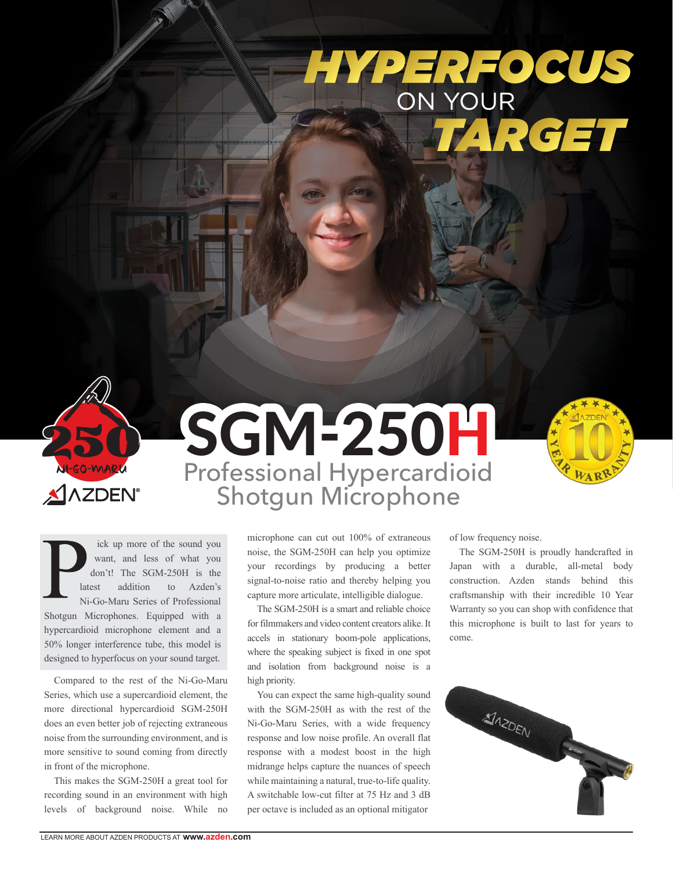## HYPERFOCUS<br>ON YOUR<br>TARGET





ick up more of the sound you want, and less of what you don't! The SGM-250H is the latest addition to Azden's Ni-Go-Maru Series of Professional Shotgun Microphones. Equipped with a hypercardioid microphone element and a 50% longer interference tube, this model is designed to hyperfocus on your sound target.

 Compared to the rest of the Ni-Go-Maru Series, which use a supercardioid element, the more directional hypercardioid SGM-250H does an even better job of rejecting extraneous noise from the surrounding environment, and is more sensitive to sound coming from directly in front of the microphone.

 This makes the SGM-250H a great tool for recording sound in an environment with high levels of background noise. While no

microphone can cut out 100% of extraneous noise, the SGM-250H can help you optimize your recordings by producing a better signal-to-noise ratio and thereby helping you capture more articulate, intelligible dialogue.

The SGM-250H is a smart and reliable choice for filmmakers and video content creators alike. It accels in stationary boom-pole applications, where the speaking subject is fixed in one spot and isolation from background noise is a high priority.

 You can expect the same high-quality sound with the SGM-250H as with the rest of the Ni-Go-Maru Series, with a wide frequency response and low noise profile. An overall flat response with a modest boost in the high midrange helps capture the nuances of speech while maintaining a natural, true-to-life quality. A switchable low-cut filter at 75 Hz and 3 dB per octave is included as an optional mitigator

of low frequency noise.

 The SGM-250H is proudly handcrafted in Japan with a durable, all-metal body construction. Azden stands behind this craftsmanship with their incredible 10 Year Warranty so you can shop with confidence that this microphone is built to last for years to come.